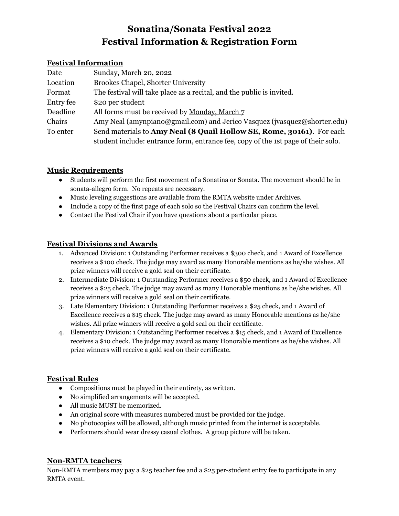# **Sonatina/Sonata Festival 2022 Festival Information & Registration Form**

#### **Festival Information**

| Date      | Sunday, March 20, 2022                                                            |
|-----------|-----------------------------------------------------------------------------------|
| Location  | <b>Brookes Chapel, Shorter University</b>                                         |
| Format    | The festival will take place as a recital, and the public is invited.             |
| Entry fee | \$20 per student                                                                  |
| Deadline  | All forms must be received by <u>Monday</u> , March 7                             |
| Chairs    | Amy Neal (amynpiano@gmail.com) and Jerico Vasquez (jvasquez@shorter.edu)          |
| To enter  | Send materials to Amy Neal (8 Quail Hollow SE, Rome, 30161). For each             |
|           | student include: entrance form, entrance fee, copy of the 1st page of their solo. |

### **Music Requirements**

- Students will perform the first movement of a Sonatina or Sonata. The movement should be in sonata-allegro form. No repeats are necessary.
- Music leveling suggestions are available from the RMTA website under Archives.
- Include a copy of the first page of each solo so the Festival Chairs can confirm the level.
- Contact the Festival Chair if you have questions about a particular piece.

# **Festival Divisions and Awards**

- 1. Advanced Division: 1 Outstanding Performer receives a \$300 check, and 1 Award of Excellence receives a \$100 check. The judge may award as many Honorable mentions as he/she wishes. All prize winners will receive a gold seal on their certificate.
- 2. Intermediate Division: 1 Outstanding Performer receives a \$50 check, and 1 Award of Excellence receives a \$25 check. The judge may award as many Honorable mentions as he/she wishes. All prize winners will receive a gold seal on their certificate.
- 3. Late Elementary Division: 1 Outstanding Performer receives a \$25 check, and 1 Award of Excellence receives a \$15 check. The judge may award as many Honorable mentions as he/she wishes. All prize winners will receive a gold seal on their certificate.
- 4. Elementary Division: 1 Outstanding Performer receives a \$15 check, and 1 Award of Excellence receives a \$10 check. The judge may award as many Honorable mentions as he/she wishes. All prize winners will receive a gold seal on their certificate.

## **Festival Rules**

- Compositions must be played in their entirety, as written.
- No simplified arrangements will be accepted.
- All music MUST be memorized.
- An original score with measures numbered must be provided for the judge.
- No photocopies will be allowed, although music printed from the internet is acceptable.
- Performers should wear dressy casual clothes. A group picture will be taken.

## **Non-RMTA teachers**

Non-RMTA members may pay a \$25 teacher fee and a \$25 per-student entry fee to participate in any RMTA event.